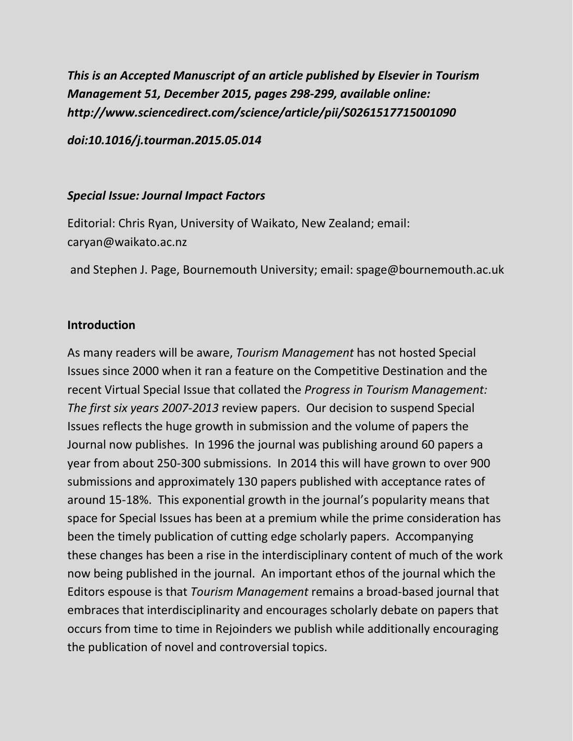*This is an Accepted Manuscript of an article published by Elsevier in Tourism Management 51, December 2015, pages 298-299, available online: http://www.sciencedirect.com/science/article/pii/S0261517715001090*

*doi:10.1016/j.tourman.2015.05.014*

## *Special Issue: Journal Impact Factors*

Editorial: Chris Ryan, University of Waikato, New Zealand; email: caryan@waikato.ac.nz

and Stephen J. Page, Bournemouth University; email: spage@bournemouth.ac.uk

## **Introduction**

As many readers will be aware, *Tourism Management* has not hosted Special Issues since 2000 when it ran a feature on the Competitive Destination and the recent Virtual Special Issue that collated the *Progress in Tourism Management: The first six years 2007-2013* review papers. Our decision to suspend Special Issues reflects the huge growth in submission and the volume of papers the Journal now publishes. In 1996 the journal was publishing around 60 papers a year from about 250-300 submissions. In 2014 this will have grown to over 900 submissions and approximately 130 papers published with acceptance rates of around 15-18%. This exponential growth in the journal's popularity means that space for Special Issues has been at a premium while the prime consideration has been the timely publication of cutting edge scholarly papers. Accompanying these changes has been a rise in the interdisciplinary content of much of the work now being published in the journal. An important ethos of the journal which the Editors espouse is that *Tourism Management* remains a broad-based journal that embraces that interdisciplinarity and encourages scholarly debate on papers that occurs from time to time in Rejoinders we publish while additionally encouraging the publication of novel and controversial topics.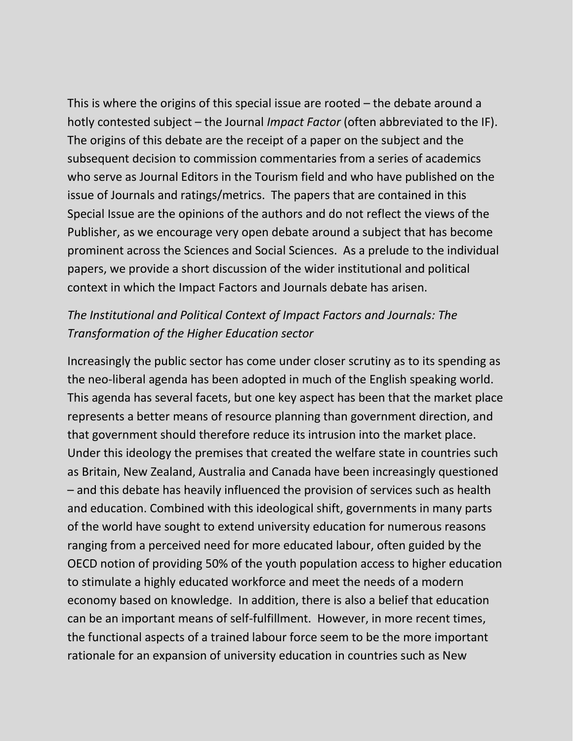This is where the origins of this special issue are rooted – the debate around a hotly contested subject – the Journal *Impact Factor* (often abbreviated to the IF). The origins of this debate are the receipt of a paper on the subject and the subsequent decision to commission commentaries from a series of academics who serve as Journal Editors in the Tourism field and who have published on the issue of Journals and ratings/metrics. The papers that are contained in this Special Issue are the opinions of the authors and do not reflect the views of the Publisher, as we encourage very open debate around a subject that has become prominent across the Sciences and Social Sciences. As a prelude to the individual papers, we provide a short discussion of the wider institutional and political context in which the Impact Factors and Journals debate has arisen.

## *The Institutional and Political Context of Impact Factors and Journals: The Transformation of the Higher Education sector*

Increasingly the public sector has come under closer scrutiny as to its spending as the neo-liberal agenda has been adopted in much of the English speaking world. This agenda has several facets, but one key aspect has been that the market place represents a better means of resource planning than government direction, and that government should therefore reduce its intrusion into the market place. Under this ideology the premises that created the welfare state in countries such as Britain, New Zealand, Australia and Canada have been increasingly questioned – and this debate has heavily influenced the provision of services such as health and education. Combined with this ideological shift, governments in many parts of the world have sought to extend university education for numerous reasons ranging from a perceived need for more educated labour, often guided by the OECD notion of providing 50% of the youth population access to higher education to stimulate a highly educated workforce and meet the needs of a modern economy based on knowledge. In addition, there is also a belief that education can be an important means of self-fulfillment. However, in more recent times, the functional aspects of a trained labour force seem to be the more important rationale for an expansion of university education in countries such as New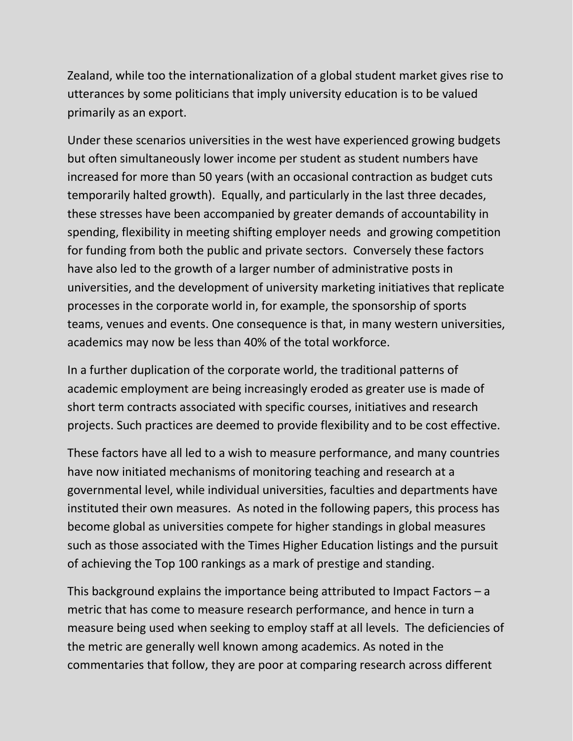Zealand, while too the internationalization of a global student market gives rise to utterances by some politicians that imply university education is to be valued primarily as an export.

Under these scenarios universities in the west have experienced growing budgets but often simultaneously lower income per student as student numbers have increased for more than 50 years (with an occasional contraction as budget cuts temporarily halted growth). Equally, and particularly in the last three decades, these stresses have been accompanied by greater demands of accountability in spending, flexibility in meeting shifting employer needs and growing competition for funding from both the public and private sectors. Conversely these factors have also led to the growth of a larger number of administrative posts in universities, and the development of university marketing initiatives that replicate processes in the corporate world in, for example, the sponsorship of sports teams, venues and events. One consequence is that, in many western universities, academics may now be less than 40% of the total workforce.

In a further duplication of the corporate world, the traditional patterns of academic employment are being increasingly eroded as greater use is made of short term contracts associated with specific courses, initiatives and research projects. Such practices are deemed to provide flexibility and to be cost effective.

These factors have all led to a wish to measure performance, and many countries have now initiated mechanisms of monitoring teaching and research at a governmental level, while individual universities, faculties and departments have instituted their own measures. As noted in the following papers, this process has become global as universities compete for higher standings in global measures such as those associated with the Times Higher Education listings and the pursuit of achieving the Top 100 rankings as a mark of prestige and standing.

This background explains the importance being attributed to Impact Factors – a metric that has come to measure research performance, and hence in turn a measure being used when seeking to employ staff at all levels. The deficiencies of the metric are generally well known among academics. As noted in the commentaries that follow, they are poor at comparing research across different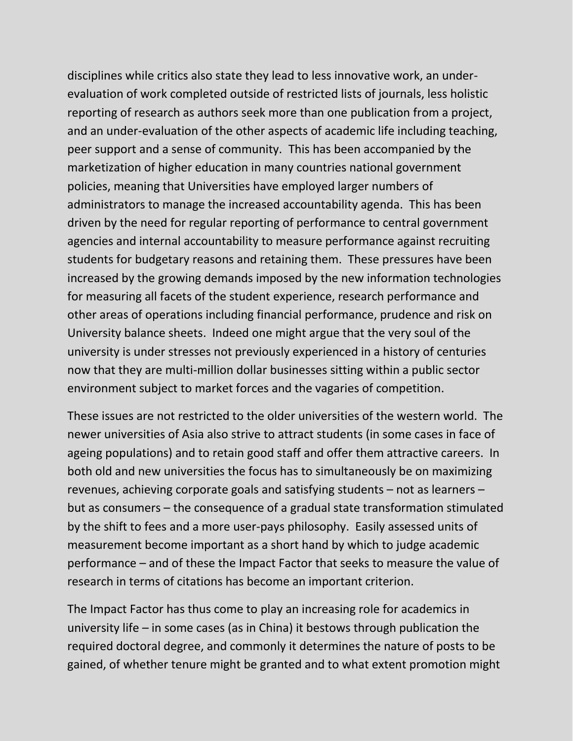disciplines while critics also state they lead to less innovative work, an underevaluation of work completed outside of restricted lists of journals, less holistic reporting of research as authors seek more than one publication from a project, and an under-evaluation of the other aspects of academic life including teaching, peer support and a sense of community. This has been accompanied by the marketization of higher education in many countries national government policies, meaning that Universities have employed larger numbers of administrators to manage the increased accountability agenda. This has been driven by the need for regular reporting of performance to central government agencies and internal accountability to measure performance against recruiting students for budgetary reasons and retaining them. These pressures have been increased by the growing demands imposed by the new information technologies for measuring all facets of the student experience, research performance and other areas of operations including financial performance, prudence and risk on University balance sheets. Indeed one might argue that the very soul of the university is under stresses not previously experienced in a history of centuries now that they are multi-million dollar businesses sitting within a public sector environment subject to market forces and the vagaries of competition.

These issues are not restricted to the older universities of the western world. The newer universities of Asia also strive to attract students (in some cases in face of ageing populations) and to retain good staff and offer them attractive careers. In both old and new universities the focus has to simultaneously be on maximizing revenues, achieving corporate goals and satisfying students – not as learners – but as consumers – the consequence of a gradual state transformation stimulated by the shift to fees and a more user-pays philosophy. Easily assessed units of measurement become important as a short hand by which to judge academic performance – and of these the Impact Factor that seeks to measure the value of research in terms of citations has become an important criterion.

The Impact Factor has thus come to play an increasing role for academics in university life – in some cases (as in China) it bestows through publication the required doctoral degree, and commonly it determines the nature of posts to be gained, of whether tenure might be granted and to what extent promotion might